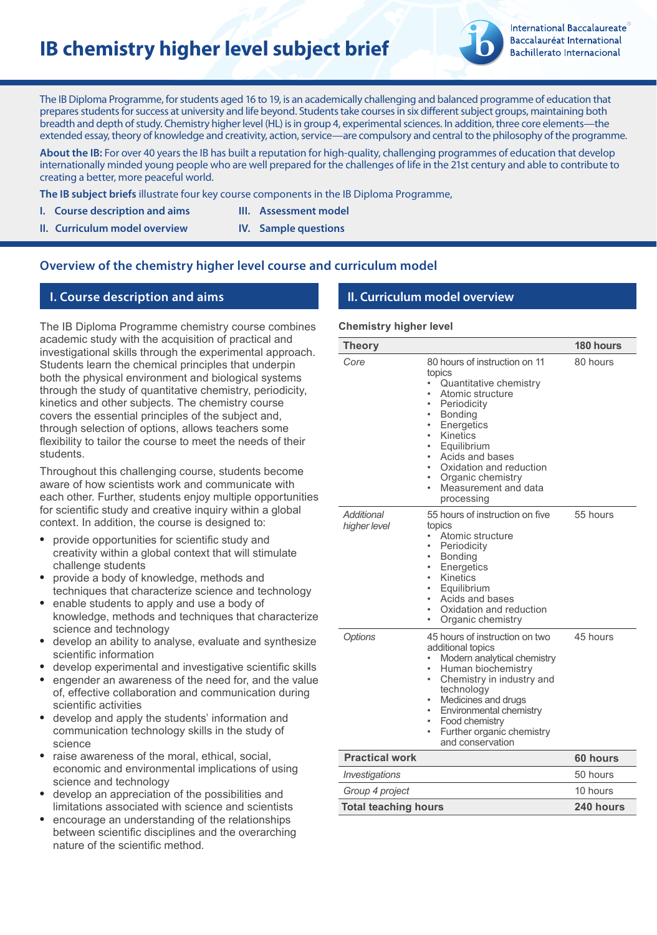# **IB chemistry higher level subject brief**



**International Baccalaureate** Baccalauréat International **Bachillerato Internacional** 

The IB Diploma Programme, for students aged 16 to 19, is an academically challenging and balanced programme of education that prepares students for success at university and life beyond. Students take courses in six different subject groups, maintaining both breadth and depth of study. Chemistry higher level (HL) is in group 4, experimental sciences. In addition, three core elements—the extended essay, theory of knowledge and creativity, action, service—are compulsory and central to the philosophy of the programme.

**About the IB:** For over 40 years the IB has built a reputation for high-quality, challenging programmes of education that develop internationally minded young people who are well prepared for the challenges of life in the 21st century and able to contribute to creating a better, more peaceful world.

**The IB subject briefs** illustrate four key course components in the IB Diploma Programme,

- **I.** Course description and aims **III.** Assessment model
- **II. Curriculum model overview IV. Sample questions**

# **Overview of the chemistry higher level course and curriculum model**

## **I. Course description and aims II. Curriculum model overview**

The IB Diploma Programme chemistry course combines academic study with the acquisition of practical and investigational skills through the experimental approach. Students learn the chemical principles that underpin both the physical environment and biological systems through the study of quantitative chemistry, periodicity, kinetics and other subjects. The chemistry course covers the essential principles of the subject and, through selection of options, allows teachers some flexibility to tailor the course to meet the needs of their students.

Throughout this challenging course, students become aware of how scientists work and communicate with each other. Further, students enjoy multiple opportunities for scientific study and creative inquiry within a global context. In addition, the course is designed to:

- provide opportunities for scientific study and creativity within a global context that will stimulate challenge students
- provide a body of knowledge, methods and techniques that characterize science and technology
- enable students to apply and use a body of knowledge, methods and techniques that characterize science and technology
- develop an ability to analyse, evaluate and synthesize scientific information
- develop experimental and investigative scientific skills
- engender an awareness of the need for, and the value of, effective collaboration and communication during scientific activities
- develop and apply the students' information and communication technology skills in the study of science
- raise awareness of the moral, ethical, social, economic and environmental implications of using science and technology
- develop an appreciation of the possibilities and limitations associated with science and scientists
- encourage an understanding of the relationships between scientific disciplines and the overarching nature of the scientific method.

#### **Chemistry higher level**

| <b>Theory</b>               |                                                                                                                                                                                                                                                                                                      | 180 hours |
|-----------------------------|------------------------------------------------------------------------------------------------------------------------------------------------------------------------------------------------------------------------------------------------------------------------------------------------------|-----------|
| Core                        | 80 hours of instruction on 11<br>topics<br>Quantitative chemistry<br>Atomic structure<br>Periodicity<br><b>Bonding</b><br>Energetics<br>٠<br>Kinetics<br>٠<br>Equilibrium<br>Acids and bases<br>۰<br>Oxidation and reduction<br>Organic chemistry<br>Measurement and data<br>$\bullet$<br>processing | 80 hours  |
| Additional<br>higher level  | 55 hours of instruction on five<br>topics<br>Atomic structure<br>Periodicity<br><b>Bonding</b><br>Energetics<br>Kinetics<br>٠<br>Equilibrium<br>۰<br>Acids and bases<br>٠<br>Oxidation and reduction<br>Organic chemistry<br>٠                                                                       | 55 hours  |
| Options                     | 45 hours of instruction on two<br>additional topics<br>Modern analytical chemistry<br>Human biochemistry<br>Chemistry in industry and<br>۰<br>technology<br>Medicines and drugs<br>Environmental chemistry<br>Food chemistry<br>۰<br>Further organic chemistry<br>and conservation                   | 45 hours  |
| <b>Practical work</b>       |                                                                                                                                                                                                                                                                                                      | 60 hours  |
| Investigations              |                                                                                                                                                                                                                                                                                                      | 50 hours  |
| Group 4 project             |                                                                                                                                                                                                                                                                                                      | 10 hours  |
| <b>Total teaching hours</b> |                                                                                                                                                                                                                                                                                                      | 240 hours |